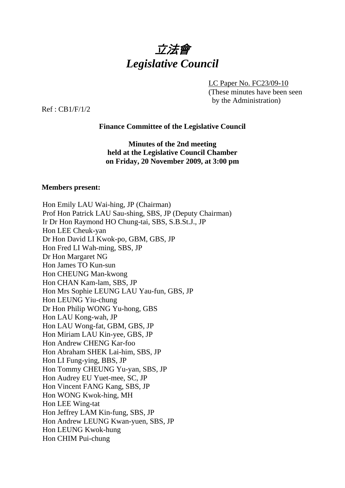

LC Paper No. FC23/09-10 (These minutes have been seen by the Administration)

Ref : CB1/F/1/2

### **Finance Committee of the Legislative Council**

**Minutes of the 2nd meeting held at the Legislative Council Chamber on Friday, 20 November 2009, at 3:00 pm** 

#### **Members present:**

Hon Emily LAU Wai-hing, JP (Chairman) Prof Hon Patrick LAU Sau-shing, SBS, JP (Deputy Chairman) Ir Dr Hon Raymond HO Chung-tai, SBS, S.B.St.J., JP Hon LEE Cheuk-yan Dr Hon David LI Kwok-po, GBM, GBS, JP Hon Fred LI Wah-ming, SBS, JP Dr Hon Margaret NG Hon James TO Kun-sun Hon CHEUNG Man-kwong Hon CHAN Kam-lam, SBS, JP Hon Mrs Sophie LEUNG LAU Yau-fun, GBS, JP Hon LEUNG Yiu-chung Dr Hon Philip WONG Yu-hong, GBS Hon LAU Kong-wah, JP Hon LAU Wong-fat, GBM, GBS, JP Hon Miriam LAU Kin-yee, GBS, JP Hon Andrew CHENG Kar-foo Hon Abraham SHEK Lai-him, SBS, JP Hon LI Fung-ying, BBS, JP Hon Tommy CHEUNG Yu-yan, SBS, JP Hon Audrey EU Yuet-mee, SC, JP Hon Vincent FANG Kang, SBS, JP Hon WONG Kwok-hing, MH Hon LEE Wing-tat Hon Jeffrey LAM Kin-fung, SBS, JP Hon Andrew LEUNG Kwan-yuen, SBS, JP Hon LEUNG Kwok-hung Hon CHIM Pui-chung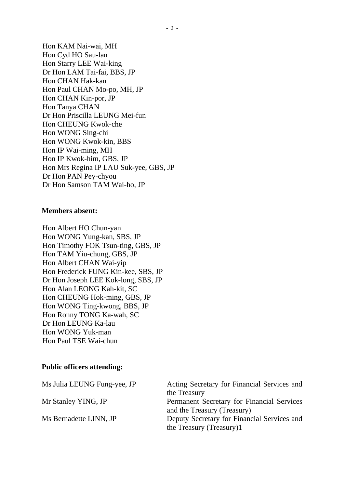Hon KAM Nai-wai, MH Hon Cyd HO Sau-lan Hon Starry LEE Wai-king Dr Hon LAM Tai-fai, BBS, JP Hon CHAN Hak-kan Hon Paul CHAN Mo-po, MH, JP Hon CHAN Kin-por, JP Hon Tanya CHAN Dr Hon Priscilla LEUNG Mei-fun Hon CHEUNG Kwok-che Hon WONG Sing-chi Hon WONG Kwok-kin, BBS Hon IP Wai-ming, MH Hon IP Kwok-him, GBS, JP Hon Mrs Regina IP LAU Suk-yee, GBS, JP Dr Hon PAN Pey-chyou Dr Hon Samson TAM Wai-ho, JP

## **Members absent:**

Hon Albert HO Chun-yan Hon WONG Yung-kan, SBS, JP Hon Timothy FOK Tsun-ting, GBS, JP Hon TAM Yiu-chung, GBS, JP Hon Albert CHAN Wai-yip Hon Frederick FUNG Kin-kee, SBS, JP Dr Hon Joseph LEE Kok-long, SBS, JP Hon Alan LEONG Kah-kit, SC Hon CHEUNG Hok-ming, GBS, JP Hon WONG Ting-kwong, BBS, JP Hon Ronny TONG Ka-wah, SC Dr Hon LEUNG Ka-lau Hon WONG Yuk-man Hon Paul TSE Wai-chun

# **Public officers attending:**

| Ms Julia LEUNG Fung-yee, JP | Acting Secretary for Financial Services and |
|-----------------------------|---------------------------------------------|
|                             | the Treasury                                |
| Mr Stanley YING, JP         | Permanent Secretary for Financial Services  |
|                             | and the Treasury (Treasury)                 |
| Ms Bernadette LINN, JP      | Deputy Secretary for Financial Services and |
|                             | the Treasury (Treasury)1                    |